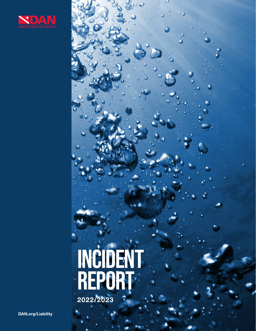

# **INCIDENT REPORT** 2022/2023

DAN.org/Liability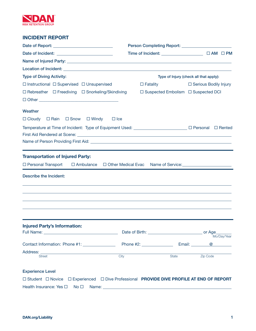

# INCIDENT REPORT

| <b>Type of Diving Activity:</b>                                                                                                                            |                                                                         | Type of Injury (check all that apply): |  |  |  |
|------------------------------------------------------------------------------------------------------------------------------------------------------------|-------------------------------------------------------------------------|----------------------------------------|--|--|--|
| $\Box$ Instructional $\Box$ Supervised $\Box$ Unsupervised                                                                                                 | $\Box$ Fatality                                                         | □ Serious Bodily Injury                |  |  |  |
| $\Box$ Rebreather $\Box$ Freediving $\Box$ Snorkeling/Skindiving                                                                                           | $\Box$ Suspected Embolism $\Box$ Suspected DCI                          |                                        |  |  |  |
|                                                                                                                                                            |                                                                         |                                        |  |  |  |
| Weather                                                                                                                                                    |                                                                         |                                        |  |  |  |
| $\Box$ Cloudy<br>□ Rain □ Snow<br>$\Box$ Windy<br>$\Box$ Ice                                                                                               |                                                                         |                                        |  |  |  |
|                                                                                                                                                            |                                                                         |                                        |  |  |  |
|                                                                                                                                                            |                                                                         |                                        |  |  |  |
| <b>Transportation of Injured Party:</b>                                                                                                                    |                                                                         |                                        |  |  |  |
| $\Box$ Personal Transport<br>$\Box$ Ambulance                                                                                                              | □ Other Medical Evac                                                    |                                        |  |  |  |
| <b>Describe the Incident:</b>                                                                                                                              |                                                                         |                                        |  |  |  |
| <b>Injured Party's Information:</b><br>Full Name: The Commission of the Commission of the Commission of the Commission of the Commission of the Commission |                                                                         | Mo/Day/Year                            |  |  |  |
| Contact Information: Phone #1: \\contact Information: Phone #1:                                                                                            |                                                                         | @                                      |  |  |  |
| Address:<br>the control of the control of the control of the control of the control of the<br>City<br><b>Street</b>                                        | <b>State</b>                                                            | Zip Code                               |  |  |  |
| <b>Experience Level</b>                                                                                                                                    |                                                                         |                                        |  |  |  |
| $\Box$ Student $\Box$ Novice                                                                                                                               | □ Experienced □ Dive Professional PROVIDE DIVE PROFILE AT END OF REPORT |                                        |  |  |  |
| Health Insurance: Yes □<br>No <sub>1</sub>                                                                                                                 |                                                                         |                                        |  |  |  |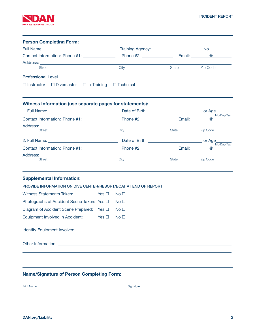

| <b>Person Completing Form:</b>                                                                                                                                                                                                 |            |                 |                      |                         |
|--------------------------------------------------------------------------------------------------------------------------------------------------------------------------------------------------------------------------------|------------|-----------------|----------------------|-------------------------|
|                                                                                                                                                                                                                                |            |                 |                      |                         |
|                                                                                                                                                                                                                                |            |                 |                      | $\circledcirc$          |
|                                                                                                                                                                                                                                |            |                 |                      |                         |
| <b>Street</b>                                                                                                                                                                                                                  |            | City            | State                | <b>Zip Code</b>         |
| <b>Professional Level</b>                                                                                                                                                                                                      |            |                 |                      |                         |
| $\Box$ Instructor $\Box$ Divemaster $\Box$ In-Training                                                                                                                                                                         |            | □ Technical     |                      |                         |
| Witness Information (use separate pages for statements):                                                                                                                                                                       |            |                 |                      |                         |
|                                                                                                                                                                                                                                |            |                 |                      |                         |
|                                                                                                                                                                                                                                |            |                 | Email: <b>Email:</b> | Mo/Day/Year<br>$\omega$ |
| Address:                                                                                                                                                                                                                       |            |                 |                      |                         |
| <b>Street</b>                                                                                                                                                                                                                  |            | City            | <b>State</b>         | Zip Code                |
|                                                                                                                                                                                                                                |            |                 |                      |                         |
|                                                                                                                                                                                                                                |            |                 |                      | Mo/Day/Year<br>$\omega$ |
| Address:                                                                                                                                                                                                                       |            |                 |                      |                         |
| <b>Street</b>                                                                                                                                                                                                                  |            | City            | State                | <b>Zip Code</b>         |
| <b>Supplemental Information:</b>                                                                                                                                                                                               |            |                 |                      |                         |
| PROVIDE INFORMATION ON DIVE CENTER/RESORT/BOAT AT END OF REPORT                                                                                                                                                                |            |                 |                      |                         |
| Witness Statements Taken:                                                                                                                                                                                                      | Yes $\Box$ | No <sub>1</sub> |                      |                         |
| Photographs of Accident Scene Taken: Yes □                                                                                                                                                                                     |            | No <sub>1</sub> |                      |                         |
| Diagram of Accident Scene Prepared: Yes $\Box$                                                                                                                                                                                 |            | No <sub>1</sub> |                      |                         |
| Equipment Involved in Accident: Yes $\Box$                                                                                                                                                                                     |            | No <sub>1</sub> |                      |                         |
|                                                                                                                                                                                                                                |            |                 |                      |                         |
| Other Information: with a state of the control of the control of the control of the control of the control of the control of the control of the control of the control of the control of the control of the control of the con |            |                 |                      |                         |
|                                                                                                                                                                                                                                |            |                 |                      |                         |

# Name/Signature of Person Completing Form:

Print Name Signature